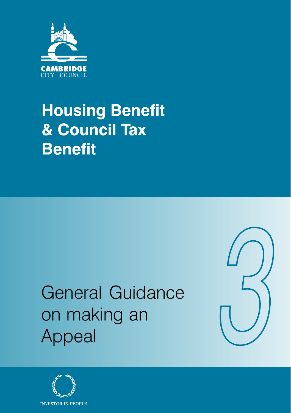

## **Housing Benefit** & Council Tax **Benefit**

# General Guidance on making an Appeal



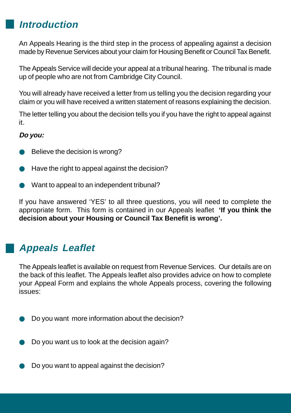### **Introduction**

An Appeals Hearing is the third step in the process of appealing against a decision made by Revenue Services about your claim for Housing Benefit or Council Tax Benefit.

The Appeals Service will decide your appeal at a tribunal hearing. The tribunal is made up of people who are not from Cambridge City Council.

You will already have received a letter from us telling you the decision regarding your claim or you will have received a written statement of reasons explaining the decision.

The letter telling you about the decision tells you if you have the right to appeal against it.

#### **Do you:**

- Believe the decision is wrong?
- Have the right to appeal against the decision?
- Want to appeal to an independent tribunal?

If you have answered 'YES' to all three questions, you will need to complete the appropriate form. This form is contained in our Appeals leaflet **'If you think the decision about your Housing or Council Tax Benefit is wrong'.**

## **Appeals Leaflet**

The Appeals leaflet is available on request from Revenue Services. Our details are on the back of this leaflet. The Appeals leaflet also provides advice on how to complete your Appeal Form and explains the whole Appeals process, covering the following issues:

- Do you want more information about the decision?
- Do you want us to look at the decision again?
- Do you want to appeal against the decision?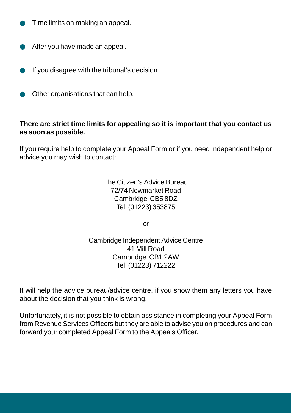- Time limits on making an appeal.
- After you have made an appeal.
- If you disagree with the tribunal's decision.
- Other organisations that can help.

#### **There are strict time limits for appealing so it is important that you contact us as soon as possible.**

If you require help to complete your Appeal Form or if you need independent help or advice you may wish to contact:

> The Citizen's Advice Bureau 72/74 Newmarket Road Cambridge CB5 8DZ Tel: (01223) 353875

> > or

Cambridge Independent Advice Centre 41 Mill Road Cambridge CB1 2AW Tel: (01223) 712222

It will help the advice bureau/advice centre, if you show them any letters you have about the decision that you think is wrong.

Unfortunately, it is not possible to obtain assistance in completing your Appeal Form from Revenue Services Officers but they are able to advise you on procedures and can forward your completed Appeal Form to the Appeals Officer.